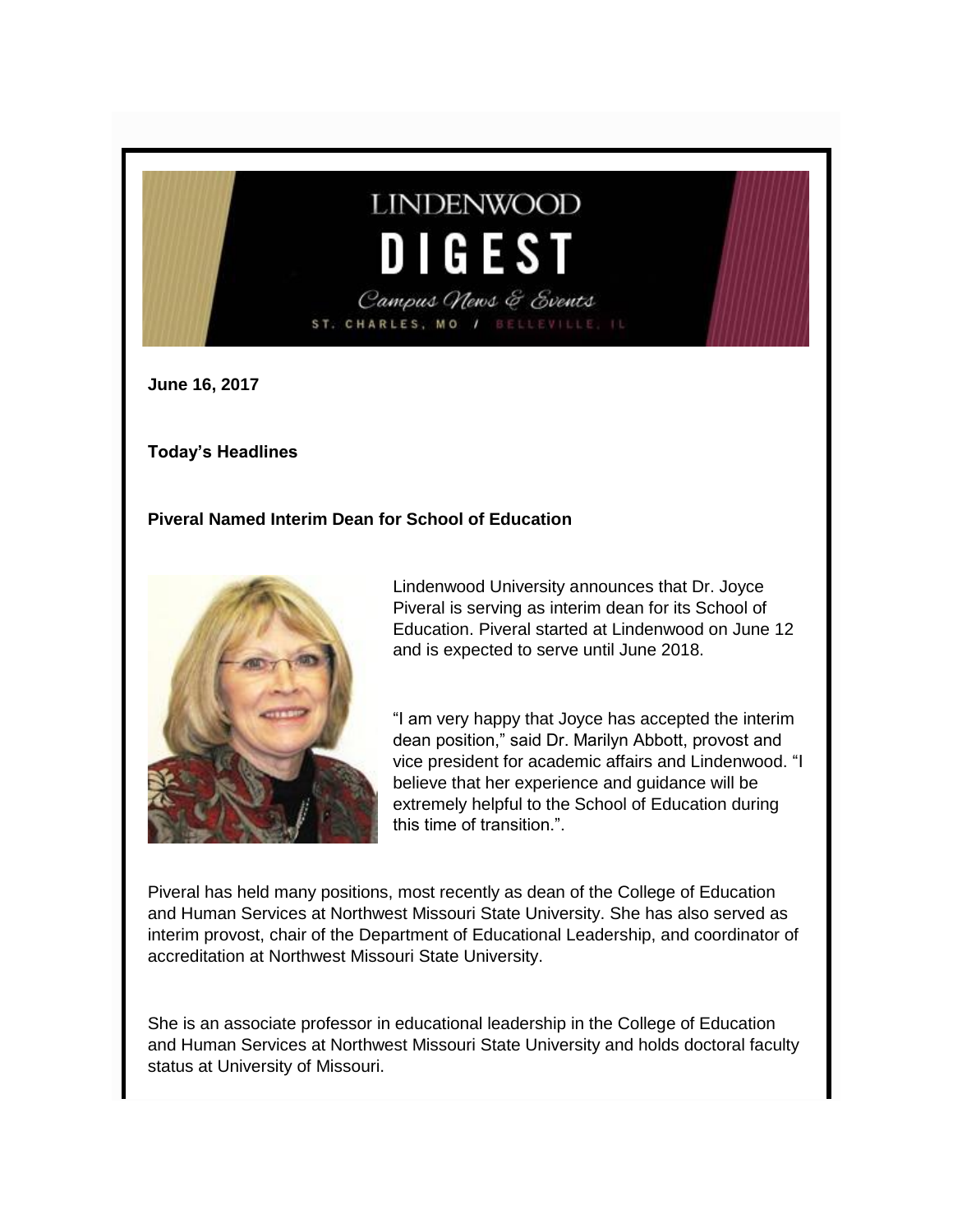# **LINDENWOOD** DIGEST Campus News & Events ST. CHARLES, MO /

**June 16, 2017**

**Today's Headlines**

#### **Piveral Named Interim Dean for School of Education**



Lindenwood University announces that Dr. Joyce Piveral is serving as interim dean for its School of Education. Piveral started at Lindenwood on June 12 and is expected to serve until June 2018.

"I am very happy that Joyce has accepted the interim dean position," said Dr. Marilyn Abbott, provost and vice president for academic affairs and Lindenwood. "I believe that her experience and guidance will be extremely helpful to the School of Education during this time of transition.".

Piveral has held many positions, most recently as dean of the College of Education and Human Services at Northwest Missouri State University. She has also served as interim provost, chair of the Department of Educational Leadership, and coordinator of accreditation at Northwest Missouri State University.

She is an associate professor in educational leadership in the College of Education and Human Services at Northwest Missouri State University and holds doctoral faculty status at University of Missouri.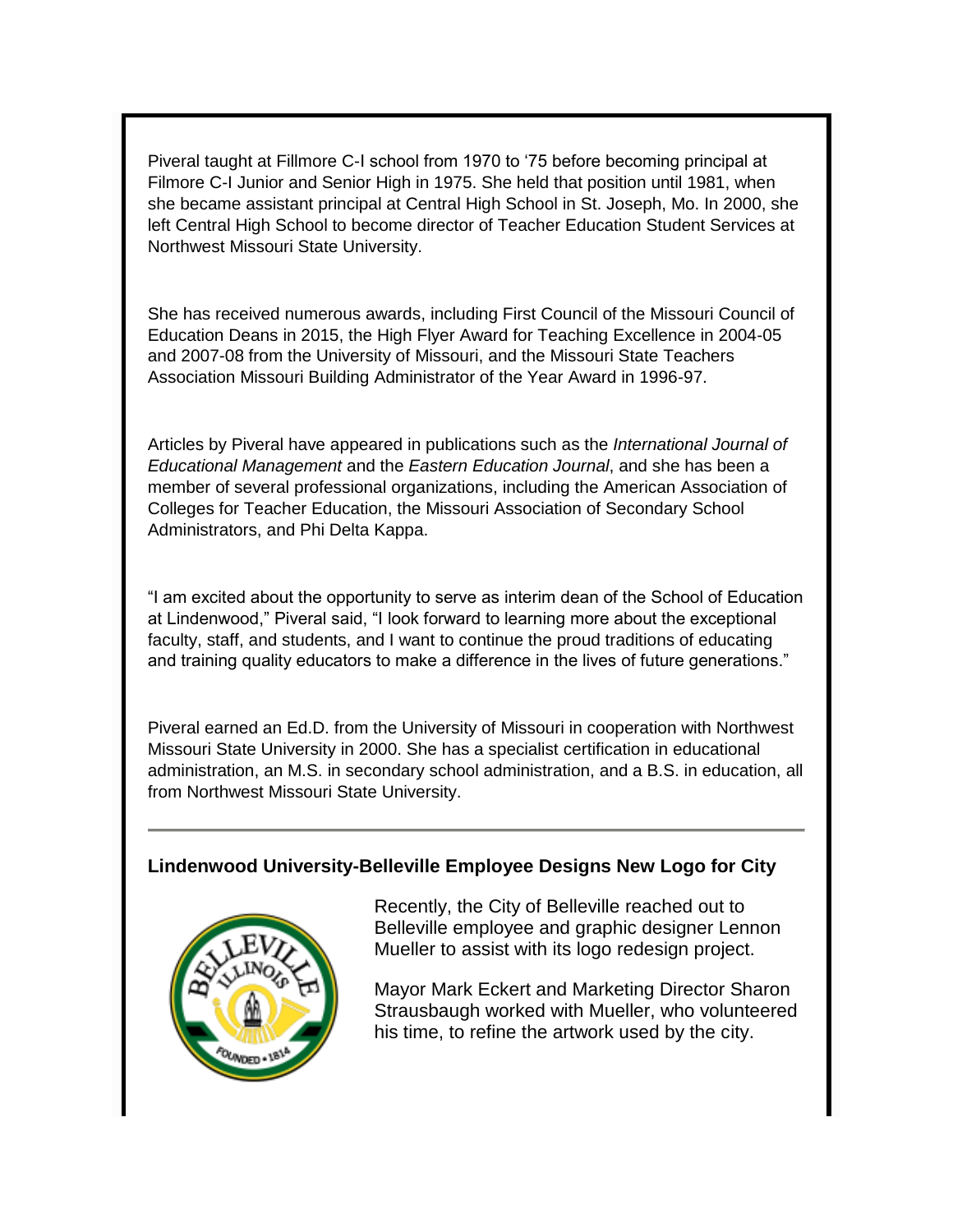Piveral taught at Fillmore C-I school from 1970 to '75 before becoming principal at Filmore C-I Junior and Senior High in 1975. She held that position until 1981, when she became assistant principal at Central High School in St. Joseph, Mo. In 2000, she left Central High School to become director of Teacher Education Student Services at Northwest Missouri State University.

She has received numerous awards, including First Council of the Missouri Council of Education Deans in 2015, the High Flyer Award for Teaching Excellence in 2004-05 and 2007-08 from the University of Missouri, and the Missouri State Teachers Association Missouri Building Administrator of the Year Award in 1996-97.

Articles by Piveral have appeared in publications such as the *International Journal of Educational Management* and the *Eastern Education Journal*, and she has been a member of several professional organizations, including the American Association of Colleges for Teacher Education, the Missouri Association of Secondary School Administrators, and Phi Delta Kappa.

"I am excited about the opportunity to serve as interim dean of the School of Education at Lindenwood," Piveral said, "I look forward to learning more about the exceptional faculty, staff, and students, and I want to continue the proud traditions of educating and training quality educators to make a difference in the lives of future generations."

Piveral earned an Ed.D. from the University of Missouri in cooperation with Northwest Missouri State University in 2000. She has a specialist certification in educational administration, an M.S. in secondary school administration, and a B.S. in education, all from Northwest Missouri State University.

### **Lindenwood University-Belleville Employee Designs New Logo for City**



Recently, the City of Belleville reached out to Belleville employee and graphic designer Lennon Mueller to assist with its logo redesign project.

Mayor Mark Eckert and Marketing Director Sharon Strausbaugh worked with Mueller, who volunteered his time, to refine the artwork used by the city.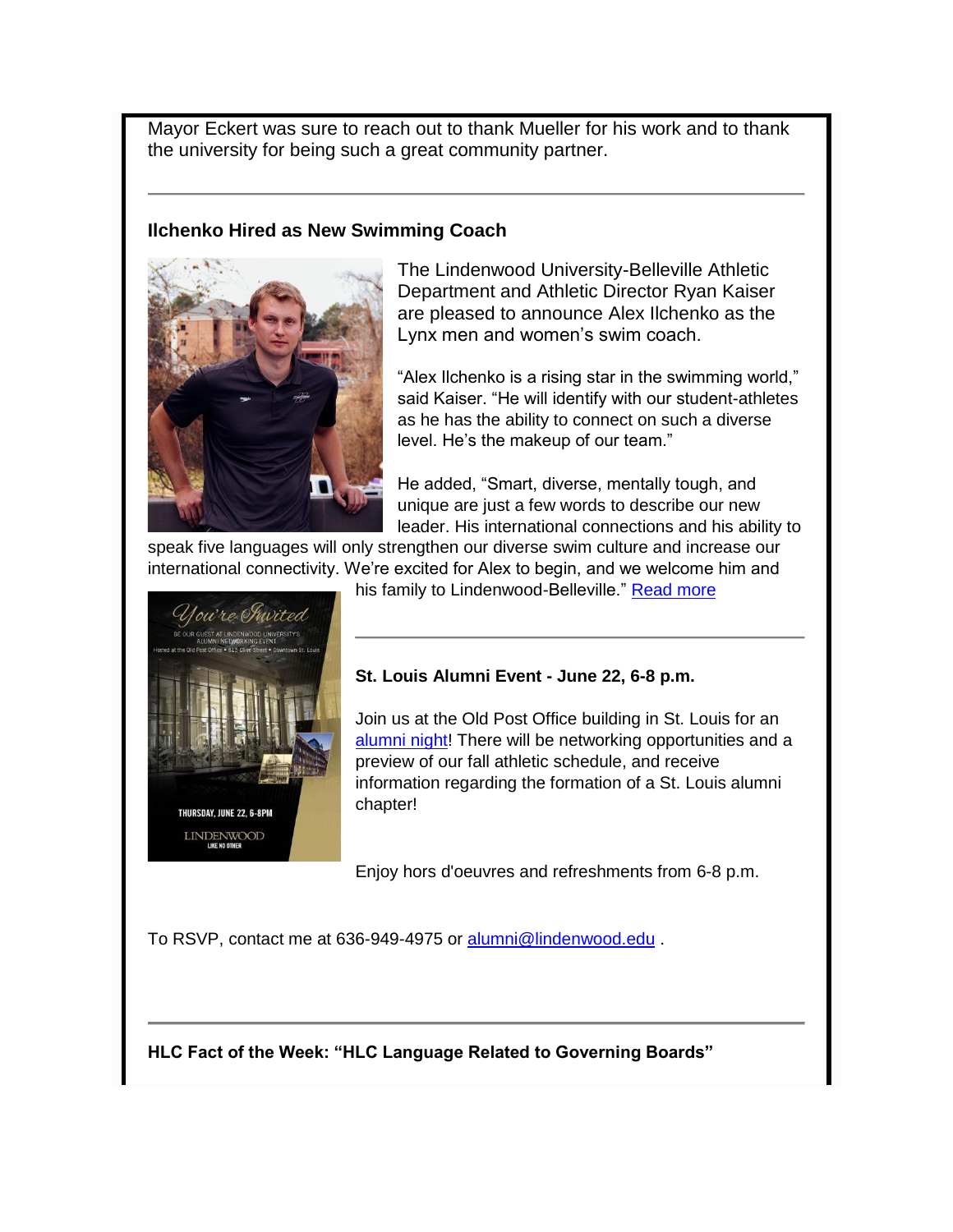Mayor Eckert was sure to reach out to thank Mueller for his work and to thank the university for being such a great community partner.

## **Ilchenko Hired as New Swimming Coach**



The Lindenwood University-Belleville Athletic Department and Athletic Director Ryan Kaiser are pleased to announce Alex Ilchenko as the Lynx men and women's swim coach.

"Alex Ilchenko is a rising star in the swimming world," said Kaiser. "He will identify with our student-athletes as he has the ability to connect on such a diverse level. He's the makeup of our team."

He added, "Smart, diverse, mentally tough, and unique are just a few words to describe our new leader. His international connections and his ability to

speak five languages will only strengthen our diverse swim culture and increase our international connectivity. We're excited for Alex to begin, and we welcome him and



his family to Lindenwood-Belleville." [Read more](http://www.lindenwood.edu/belleville/about/news/details/ilchenko-hired-as-new-swimming-coach/)

## **St. Louis Alumni Event - June 22, 6-8 p.m.**

Join us at the Old Post Office building in St. Louis for an [alumni night!](http://felix.lindenwood.edu/newsletter/2017_06/alumninight.jpg) There will be networking opportunities and a preview of our fall athletic schedule, and receive information regarding the formation of a St. Louis alumni chapter!

Enjoy hors d'oeuvres and refreshments from 6-8 p.m.

To RSVP, contact me at 636-949-4975 or [alumni@lindenwood.edu](mailto:alumni@lindenwood.edu) .

**HLC Fact of the Week: "HLC Language Related to Governing Boards"**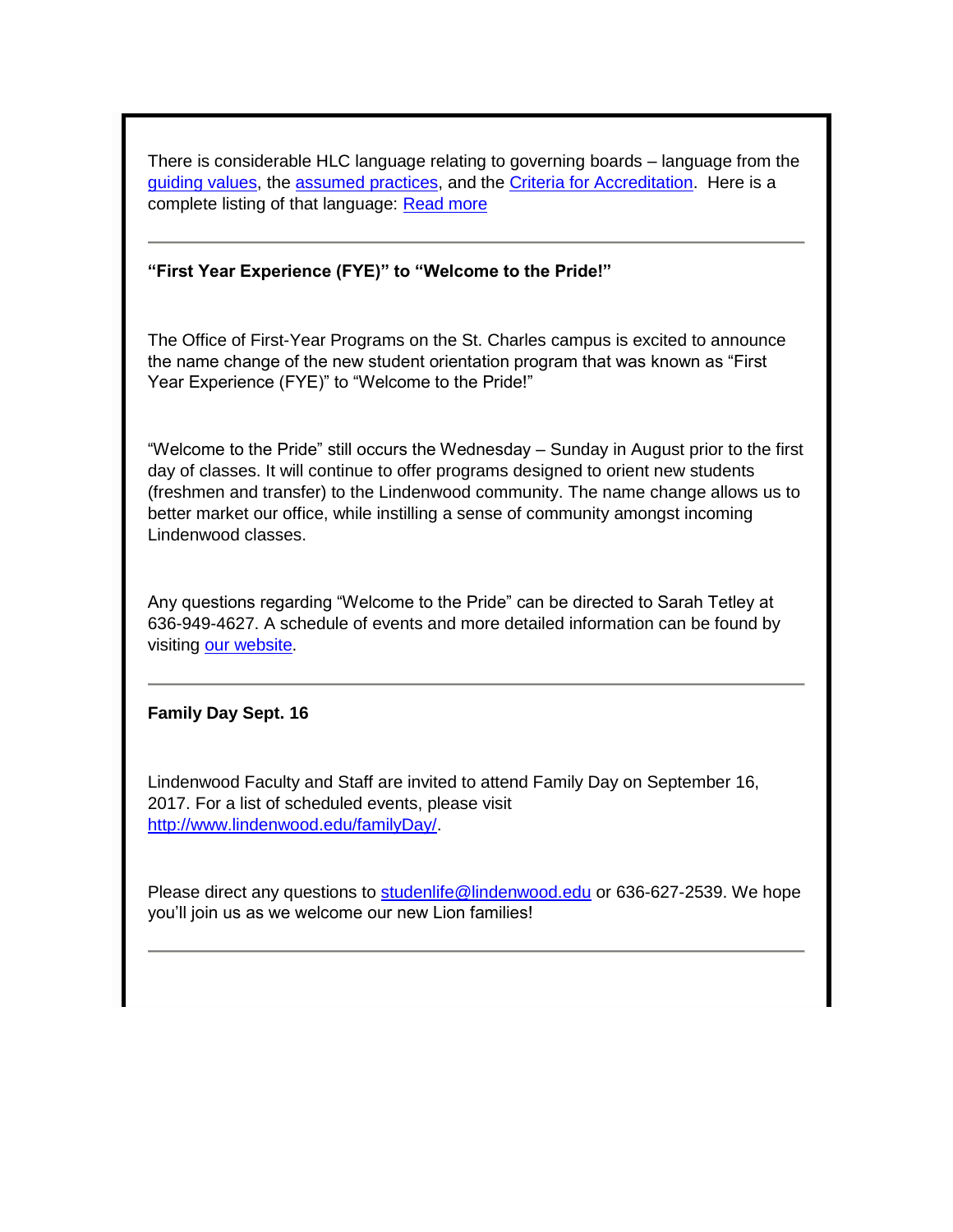There is considerable HLC language relating to governing boards – language from the [guiding values,](https://www.hlcommission.org/Criteria-Eligibility-and-Candidacy/guiding-values.html) the [assumed practices,](http://policy.hlcommission.org/Policies/assumed-practices.html) and the [Criteria for Accreditation.](http://policy.hlcommission.org/Policies/criteria-for-accreditation.html) Here is a complete listing of that language: [Read more](http://felix.lindenwood.edu/newsletter/2017_06/fact_june16.pdf)

#### **"First Year Experience (FYE)" to "Welcome to the Pride!"**

The Office of First-Year Programs on the St. Charles campus is excited to announce the name change of the new student orientation program that was known as "First Year Experience (FYE)" to "Welcome to the Pride!"

"Welcome to the Pride" still occurs the Wednesday – Sunday in August prior to the first day of classes. It will continue to offer programs designed to orient new students (freshmen and transfer) to the Lindenwood community. The name change allows us to better market our office, while instilling a sense of community amongst incoming Lindenwood classes.

Any questions regarding "Welcome to the Pride" can be directed to Sarah Tetley at 636-949-4627. A schedule of events and more detailed information can be found by visiting [our website](http://www.lindenwood.edu/academics/support-resources/first-year-programs/new-student-orientation/).

#### **Family Day Sept. 16**

Lindenwood Faculty and Staff are invited to attend Family Day on September 16, 2017. For a list of scheduled events, please visit [http://www.lindenwood.edu/familyDay/.](http://www.lindenwood.edu/familyDay/)

Please direct any questions to [studenlife@lindenwood.edu](mailto:studenlife@lindenwood.edu) or 636-627-2539. We hope you'll join us as we welcome our new Lion families!